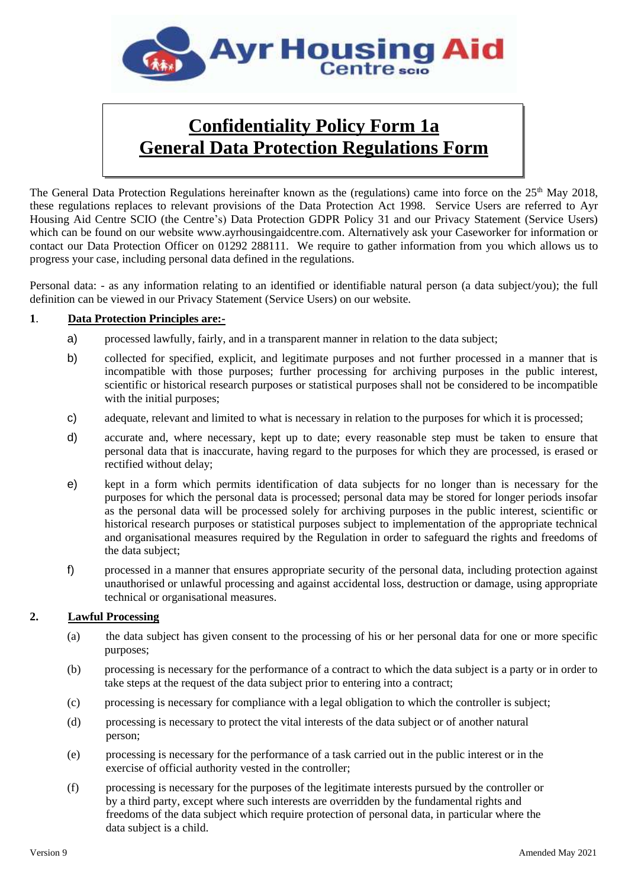

# **Confidentiality Policy Form 1a General Data Protection Regulations Form**

The General Data Protection Regulations hereinafter known as the (regulations) came into force on the  $25<sup>th</sup>$  May 2018, these regulations replaces to relevant provisions of the Data Protection Act 1998. Service Users are referred to Ayr Housing Aid Centre SCIO (the Centre's) Data Protection GDPR Policy 31 and our Privacy Statement (Service Users) which can be found on our website www.ayrhousingaidcentre.com. Alternatively ask your Caseworker for information or contact our Data Protection Officer on 01292 288111. We require to gather information from you which allows us to progress your case, including personal data defined in the regulations.

Personal data: - as any information relating to an identified or identifiable natural person (a data subject/you); the full definition can be viewed in our Privacy Statement (Service Users) on our website.

## **1**. **Data Protection Principles are:-**

- a) processed lawfully, fairly, and in a transparent manner in relation to the data subject;
- b) collected for specified, explicit, and legitimate purposes and not further processed in a manner that is incompatible with those purposes; further processing for archiving purposes in the public interest, scientific or historical research purposes or statistical purposes shall not be considered to be incompatible with the initial purposes;
- c) adequate, relevant and limited to what is necessary in relation to the purposes for which it is processed;
- d) accurate and, where necessary, kept up to date; every reasonable step must be taken to ensure that personal data that is inaccurate, having regard to the purposes for which they are processed, is erased or rectified without delay;
- e) kept in a form which permits identification of data subjects for no longer than is necessary for the purposes for which the personal data is processed; personal data may be stored for longer periods insofar as the personal data will be processed solely for archiving purposes in the public interest, scientific or historical research purposes or statistical purposes subject to implementation of the appropriate technical and organisational measures required by the Regulation in order to safeguard the rights and freedoms of the data subject;
- f) processed in a manner that ensures appropriate security of the personal data, including protection against unauthorised or unlawful processing and against accidental loss, destruction or damage, using appropriate technical or organisational measures.

## **2. Lawful Processing**

- (a) the data subject has given consent to the processing of his or her personal data for one or more specific purposes;
- (b) processing is necessary for the performance of a contract to which the data subject is a party or in order to take steps at the request of the data subject prior to entering into a contract;
- (c) processing is necessary for compliance with a legal obligation to which the controller is subject;
- (d) processing is necessary to protect the vital interests of the data subject or of another natural person;
- (e) processing is necessary for the performance of a task carried out in the public interest or in the exercise of official authority vested in the controller;
- (f) processing is necessary for the purposes of the legitimate interests pursued by the controller or by a third party, except where such interests are overridden by the fundamental rights and freedoms of the data subject which require protection of personal data, in particular where the data subject is a child.